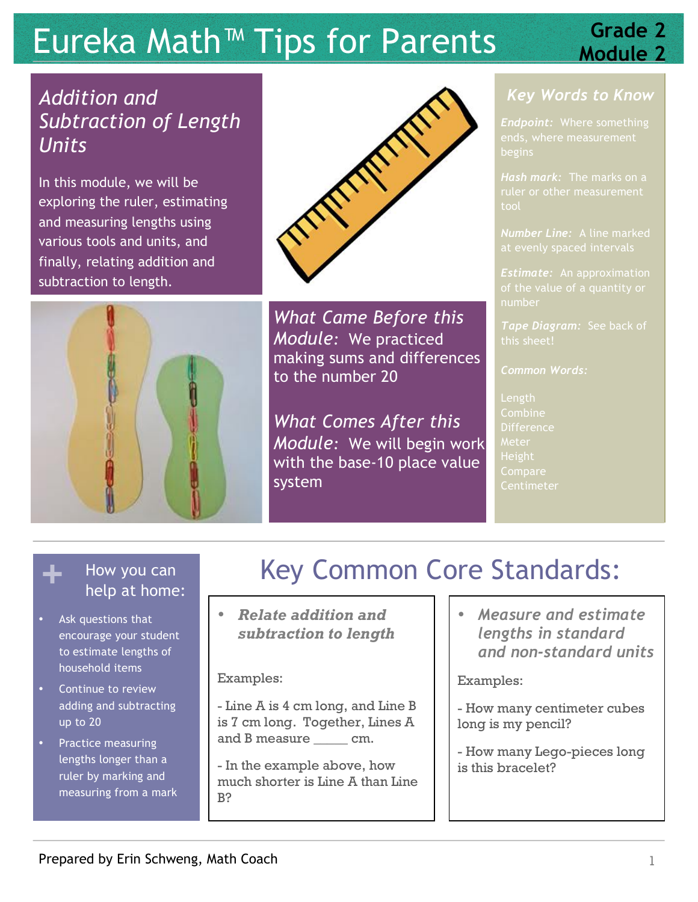# Eureka Math<sup>™</sup> Tips for Parents **Suse Crade 2**

# *Addition and Subtraction of Length Units*

In this module, we will be exploring the ruler, estimating and measuring lengths using various tools and units, and finally, relating addition and subtraction to length.





*What Came Before this Module:* We practiced making sums and differences to the number 20

*What Comes After this Module:* We will begin work with the base-10 place value system

## *Key Words to Know*

*Endpoint:* Where something begins

*Hash mark:* The marks on a tool

*Number Line:* A line marked

*Estimate:* An approximation number

this sheet!

*Common Words:*

Length Combine **Difference** Meter Height **Compare Centimeter** 

- Ask questions that encourage your student to estimate lengths of household items
- Continue to review adding and subtracting up to 20
- Practice measuring lengths longer than a ruler by marking and measuring from a mark

# How you can **Key Common Core Standards:** help at home:

• *Relate addition and subtraction to length*

### Examples:

- Line A is 4 cm long, and Line B is 7 cm long. Together, Lines A and B measure cm.

- In the example above, how much shorter is Line A than Line B?

• *Measure and estimate lengths in standard and non-standard units*

### Examples:

- How many centimeter cubes long is my pencil?
- How many Lego-pieces long is this bracelet?